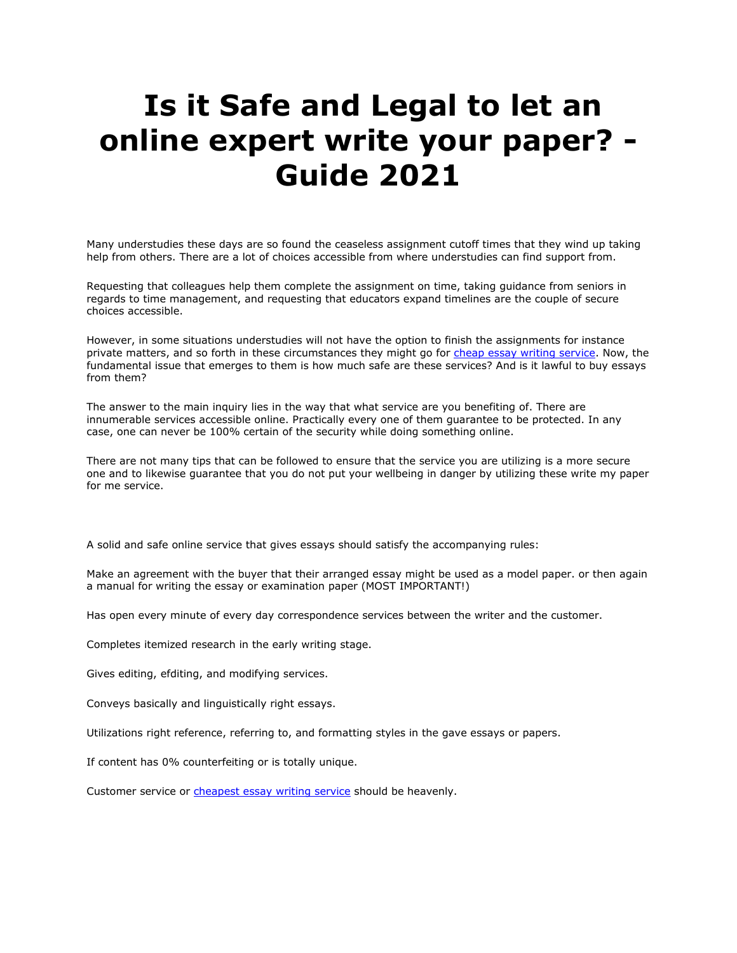## **Is it Safe and Legal to let an online expert write your paper? - Guide 2021**

Many understudies these days are so found the ceaseless assignment cutoff times that they wind up taking help from others. There are a lot of choices accessible from where understudies can find support from.

Requesting that colleagues help them complete the assignment on time, taking guidance from seniors in regards to time management, and requesting that educators expand timelines are the couple of secure choices accessible.

However, in some situations understudies will not have the option to finish the assignments for instance private matters, and so forth in these circumstances they might go for [cheap essay writing service.](https://www.essaywritingservice.college/) Now, the fundamental issue that emerges to them is how much safe are these services? And is it lawful to buy essays from them?

The answer to the main inquiry lies in the way that what service are you benefiting of. There are innumerable services accessible online. Practically every one of them guarantee to be protected. In any case, one can never be 100% certain of the security while doing something online.

There are not many tips that can be followed to ensure that the service you are utilizing is a more secure one and to likewise guarantee that you do not put your wellbeing in danger by utilizing these write my paper for me service.

A solid and safe online service that gives essays should satisfy the accompanying rules:

Make an agreement with the buyer that their arranged essay might be used as a model paper. or then again a manual for writing the essay or examination paper (MOST IMPORTANT!)

Has open every minute of every day correspondence services between the writer and the customer.

Completes itemized research in the early writing stage.

Gives editing, efditing, and modifying services.

Conveys basically and linguistically right essays.

Utilizations right reference, referring to, and formatting styles in the gave essays or papers.

If content has 0% counterfeiting or is totally unique.

Customer service or [cheapest essay writing service](https://www.essaywritingservice.college/) should be heavenly.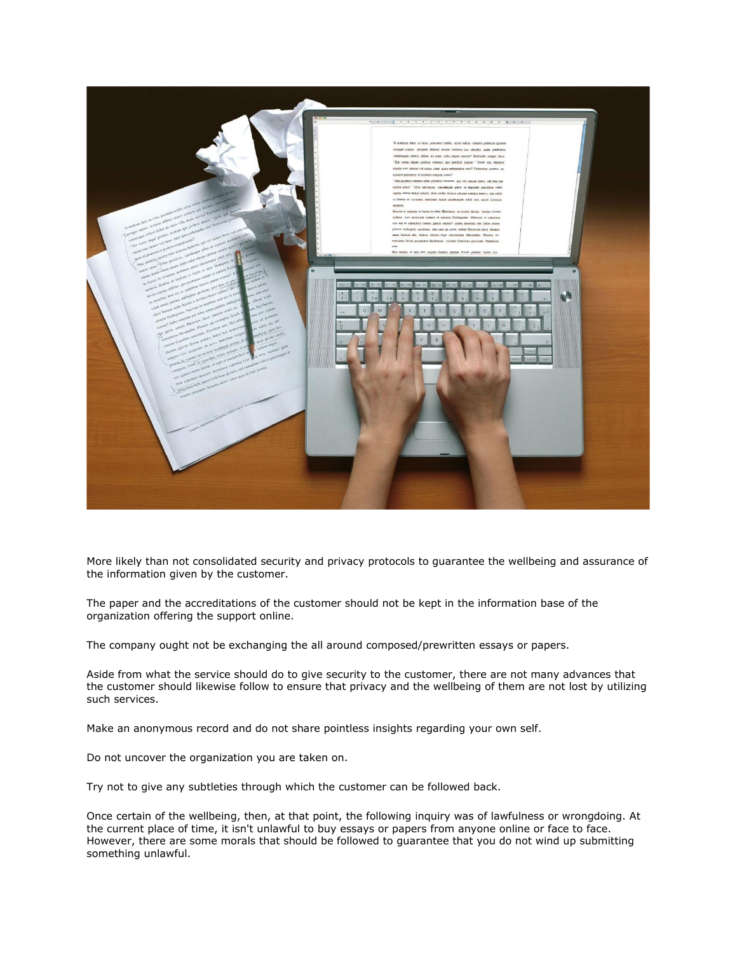

More likely than not consolidated security and privacy protocols to guarantee the wellbeing and assurance of the information given by the customer.

The paper and the accreditations of the customer should not be kept in the information base of the organization offering the support online.

The company ought not be exchanging the all around composed/prewritten essays or papers.

Aside from what the service should do to give security to the customer, there are not many advances that the customer should likewise follow to ensure that privacy and the wellbeing of them are not lost by utilizing such services.

Make an anonymous record and do not share pointless insights regarding your own self.

Do not uncover the organization you are taken on.

Try not to give any subtleties through which the customer can be followed back.

Once certain of the wellbeing, then, at that point, the following inquiry was of lawfulness or wrongdoing. At the current place of time, it isn't unlawful to buy essays or papers from anyone online or face to face. However, there are some morals that should be followed to guarantee that you do not wind up submitting something unlawful.